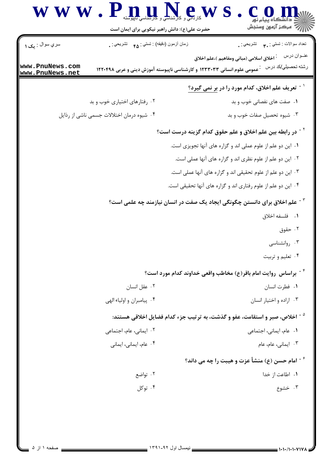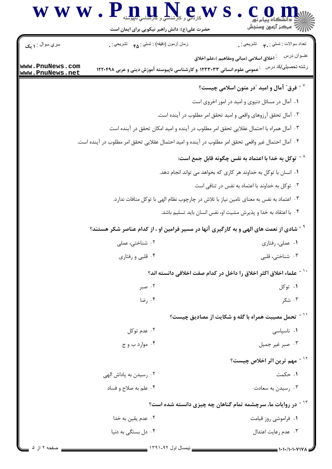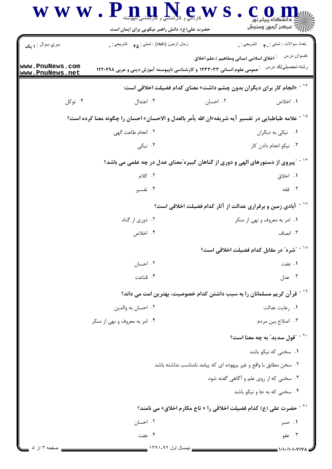|                                    | WWW.Pnullel                                                                                                    |                                                                                | أأأأ مركز آزمون وسنجش                                 |
|------------------------------------|----------------------------------------------------------------------------------------------------------------|--------------------------------------------------------------------------------|-------------------------------------------------------|
|                                    | حضرت علی(ع): دانش راهبر نیکویی برای ایمان است                                                                  |                                                                                |                                                       |
| سري سوال : ۱ يک                    | زمان أزمون (دقيقه) : تستى : هم     تشريحي : .                                                                  |                                                                                | تعداد سوالات : تستبي : ٩٠ - تشريحي : .<br>عنــوان درس |
| www.PnuNews.com<br>www.PnuNews.net | رشته تحصیلی/کد در س ) : عمومی علوم انسانی ۱۲۳۳۰۳۳ و کارشناسی ناپیوسته آموزش دینی و عربی ۱۲۲۰۴۹۸                | <sup>:</sup> اخلاق اسلامی (مبانی ومفاهیم )،علم اخلاق                           |                                                       |
|                                    | <sup>۱۴ -</sup> «انجام کار برای دیگران بدون چشم داشت» معنای کدام فضیلت اخلاقی است:                             |                                                                                |                                                       |
| ۰۴ توکل                            | ۰۳ اعتدال                                                                                                      | ۰۲ احسان                                                                       | ۰۱ اخلاص                                              |
|                                    | <sup>۱۵ -</sup> علامه طباطبایی در تفسیر آیه شریفه«ان الله یأمر بالعدل و الاحسان» احسان را چگونه معنا کرده است؟ |                                                                                |                                                       |
| ٢. انجام طاعت الهي                 |                                                                                                                |                                                                                | ۰۱ نیکی به دیگران                                     |
|                                    | ۰۴ نیکی                                                                                                        |                                                                                | ۰۳ نیکو انجام دادن کار                                |
|                                    | ٔ ` ~ آپیروی از دستورهای الهی و دوری از گناهان کبیره ّمعنای عدل در چه علمی می باشد؟                            |                                                                                |                                                       |
| ۰۲ کلام                            |                                                                                                                |                                                                                | ۰۱ اخلاق                                              |
|                                    | ۰۴ تفسیر                                                                                                       |                                                                                | ۰۳ فقه                                                |
|                                    |                                                                                                                | <sup>۱۷ -</sup> آبادی زمین و برقراری عدالت از آثار کدام فضیلت اخلاقی است؟      |                                                       |
| ۰۲ دوری از گناه                    |                                                                                                                |                                                                                | ۰۱ امر به معروف و نهی از منکر                         |
|                                    | ۰۴ اخلاص                                                                                                       |                                                                                | ۰۳ انصاف                                              |
|                                    |                                                                                                                |                                                                                | <sup>۱۸ -</sup> "شره″ در مقابل کدام فضیلت اخلاقی است؟ |
|                                    | ٠٢ احسان                                                                                                       |                                                                                | ۰۱ عفت                                                |
|                                    | ۰۴ قناعت                                                                                                       |                                                                                | ۰۳ عدل                                                |
|                                    | <sup>۱۹ -</sup> قر آن کریم مسلمانان را به سبب داشتن کدام خصوصیت، بهترین امت می داند؟                           |                                                                                |                                                       |
|                                    | ۰۲ احسان به والدين                                                                                             |                                                                                | ٠١. وعايت عدالت                                       |
|                                    | ۰۴ امر به معروف و نهی از منکر                                                                                  |                                                                                | ۰۳ اصلاح بين مردم                                     |
|                                    |                                                                                                                |                                                                                | <sup>۲۰ -</sup> "قول سدید" به چه معنا است؟            |
|                                    |                                                                                                                |                                                                                | ۰۱ سخنی که نیکو باشد                                  |
|                                    |                                                                                                                | ٢. سخن مطابق با واقع و غير بيهوده اي كه پيامد نامناسب نداشته باشد              |                                                       |
|                                    |                                                                                                                |                                                                                | ۰۳ سخنی که از روی علم و آگاهی گفته شود                |
|                                    |                                                                                                                |                                                                                | ۰۴ سخنی که به جا و نیکو باشد                          |
|                                    |                                                                                                                | <sup>۲۱ -</sup> حضرت علی (ع) کدام فضیلت اخلاقی را « تاج مکارم اخلاق» می نامند؟ |                                                       |
|                                    | ۰۲ احسان                                                                                                       |                                                                                | ۰۱ صبر                                                |
|                                    | ۰۴ عفت                                                                                                         |                                                                                | ۰۳ عفو                                                |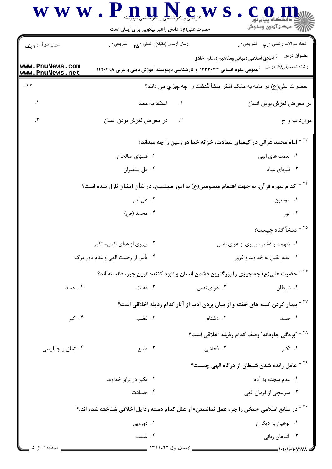|                                                                                            | WWW.Pmul.N.e.WS                                                                                         |                                                      |                                                                        |  |
|--------------------------------------------------------------------------------------------|---------------------------------------------------------------------------------------------------------|------------------------------------------------------|------------------------------------------------------------------------|--|
|                                                                                            | حضرت علی(ع): دانش راهبر نیکویی برای ایمان است                                                           |                                                      | أآه مرکز آزمون وسنجش                                                   |  |
| سري سوال : ۱ يک                                                                            | زمان أزمون (دقيقه) : تستي : ۴۵ $\alpha$ نشريحي : .                                                      |                                                      | نعداد سوالات : تستي : پم       تشريحي : .                              |  |
| www.PnuNews.com<br>www.PnuNews.net                                                         | عمومی علوم انسانی ۱۲۳۳۰۳۳ و کارشناسی ناپیوسته آموزش دینی و عربی ۱۲۲۰۴۹۸                                 | <sup>:</sup> اخلاق اسلامی (مبانی ومفاهیم )،علم اخلاق | عنــوان درس<br>رشته تحصيلي/كد درس                                      |  |
| $-77$                                                                                      |                                                                                                         |                                                      | حضرت علي(ع) در نامه به مالک اشتر منشأ گذشت را چه چيزي مي دانند؟        |  |
| $\cdot$                                                                                    | ٢. اعتقاد به معاد                                                                                       |                                                      | در معرض لغزش بودن انسان                                                |  |
| $\cdot$                                                                                    | $\cdot$ . $\mathfrak{e}$<br>در معرض لغزش بودن انسان                                                     |                                                      | موارد ب و ج                                                            |  |
| <sup>۲۳ -</sup> امام محمد غزالی در کیمیای سعادت، خزانه خدا در زمین را چه میداند؟           |                                                                                                         |                                                      |                                                                        |  |
|                                                                                            | ۲. قلبهای صالحان                                                                                        |                                                      | ۰۱ نعمت های الهی                                                       |  |
|                                                                                            | ۰۴ دل پیامبران                                                                                          |                                                      | ۰۳ قلبهای عباد                                                         |  |
|                                                                                            | <sup>۲۴ -</sup> کدام سوره قرآن، به جهت اهتمام معصومین(ع) به امور مسلمین، در شأن ایشان نازل شده است؟     |                                                      |                                                                        |  |
|                                                                                            | ۰۲ هل اتی                                                                                               |                                                      | ۰۱ مومنون                                                              |  |
|                                                                                            | ۰۴ محمد (ص)                                                                                             |                                                      | ۰۳ نور                                                                 |  |
|                                                                                            |                                                                                                         |                                                      | <sup>۲۵ -</sup> منشأ گناه چیست؟                                        |  |
| ۰۲ پیروی از هوای نفس- تکبر                                                                 |                                                                                                         |                                                      | ۰۱ شهوت و غضب، پیروی از هوای نفس                                       |  |
|                                                                                            | ۰۴ یأس از رحمت الهی و عدم باور مرگ                                                                      |                                                      | ۰۳ عدم یقین به خداوند و غرور                                           |  |
|                                                                                            | <sup>۲۶ -</sup> حضرت علی(ع) چه چیزی را بزرگترین دشمن انسان و نابود کننده ترین چیز، دانسته اند؟          |                                                      |                                                                        |  |
| ۰۴ حسد                                                                                     | ۰۳ غفلت                                                                                                 | ۰۲ هوای نفس                                          | ۰۱ شیطان                                                               |  |
| <sup>۲۷ -</sup> بیدار کردن کینه های خفته و از میان بردن ادب از آثار کدام رذیله اخلاقی است؟ |                                                                                                         |                                                      |                                                                        |  |
| ۰۴ کېږ                                                                                     | ۰۳ غضب                                                                                                  | ۰۲ دشنام                                             | ۰۱ حسد                                                                 |  |
|                                                                                            |                                                                                                         |                                                      | <sup>۲۸ -</sup> "بردگی جاودانه <sup>"</sup> وصف کدام رذیله اخلاقی است؟ |  |
| ۰۴ تملق و چابلوسی                                                                          | ۰۳ طمع                                                                                                  | ۰۲ فحاشی                                             | ۰۱ تکبر                                                                |  |
|                                                                                            |                                                                                                         |                                                      | <sup>۲۹ -</sup> عامل رانده شدن شیطان از درگاه الهی چیست؟               |  |
|                                                                                            | ۰۲ تکبر در برابر خداوند                                                                                 |                                                      | ۰۱ عدم سجده به آدم                                                     |  |
|                                                                                            | ۰۴ حسادت                                                                                                |                                                      | ۰۳ سرپیچی از فرمان الهی                                                |  |
|                                                                                            | <sup>۳۰ -</sup> در منابع اسلامی «سخن را جزء عمل ندانستن» از علل کدام دسته رذایل اخلاقی شناخته شده اند.؟ |                                                      |                                                                        |  |
|                                                                                            | ۰۲ دورویی                                                                                               |                                                      | ۰۱ توهين به ديگران                                                     |  |
|                                                                                            | ۰۴ غيبت                                                                                                 |                                                      | ۰۳ گناهان زبانی                                                        |  |
| صفحه ۴ از ۵                                                                                | _ نیمسال اول ۹۲-۱۳۹۱ _                                                                                  |                                                      | 1.1.11.1.11V1                                                          |  |

\_\_ نیمسال اول ۱۳۹۱-۱۳۹۱ <mark>\_\_\_</mark>\_